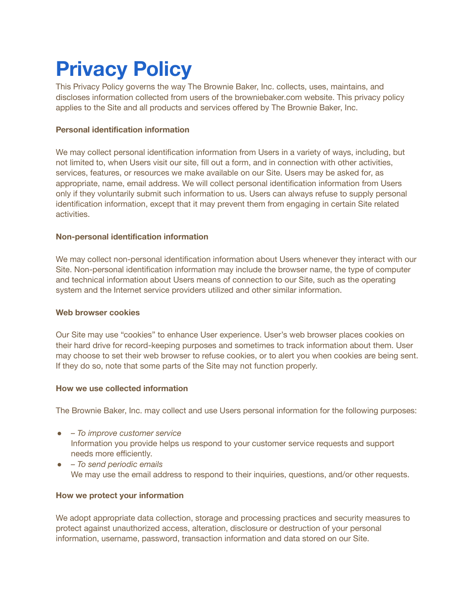# **Privacy Policy**

This Privacy Policy governs the way The Brownie Baker, Inc. collects, uses, maintains, and discloses information collected from users of the browniebaker.com website. This privacy policy applies to the Site and all products and services offered by The Brownie Baker, Inc.

# **Personal identification information**

We may collect personal identification information from Users in a variety of ways, including, but not limited to, when Users visit our site, fill out a form, and in connection with other activities, services, features, or resources we make available on our Site. Users may be asked for, as appropriate, name, email address. We will collect personal identification information from Users only if they voluntarily submit such information to us. Users can always refuse to supply personal identification information, except that it may prevent them from engaging in certain Site related activities.

# **Non-personal identification information**

We may collect non-personal identification information about Users whenever they interact with our Site. Non-personal identification information may include the browser name, the type of computer and technical information about Users means of connection to our Site, such as the operating system and the Internet service providers utilized and other similar information.

## **Web browser cookies**

Our Site may use "cookies" to enhance User experience. User's web browser places cookies on their hard drive for record-keeping purposes and sometimes to track information about them. User may choose to set their web browser to refuse cookies, or to alert you when cookies are being sent. If they do so, note that some parts of the Site may not function properly.

## **How we use collected information**

The Brownie Baker, Inc. may collect and use Users personal information for the following purposes:

- *To improve customer service* Information you provide helps us respond to your customer service requests and support needs more efficiently.
- *To send periodic emails* We may use the email address to respond to their inquiries, questions, and/or other requests.

# **How we protect your information**

We adopt appropriate data collection, storage and processing practices and security measures to protect against unauthorized access, alteration, disclosure or destruction of your personal information, username, password, transaction information and data stored on our Site.